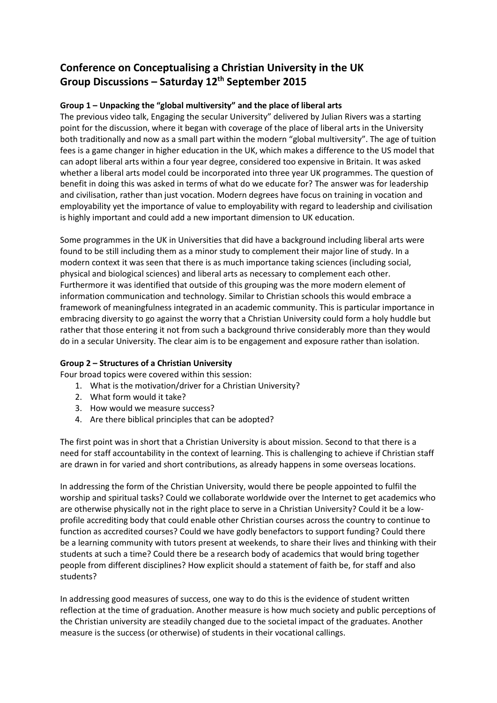## **Conference on Conceptualising a Christian University in the UK Group Discussions – Saturday 12th September 2015**

## **Group 1 – Unpacking the "global multiversity" and the place of liberal arts**

The previous video talk, Engaging the secular University" delivered by Julian Rivers was a starting point for the discussion, where it began with coverage of the place of liberal arts in the University both traditionally and now as a small part within the modern "global multiversity". The age of tuition fees is a game changer in higher education in the UK, which makes a difference to the US model that can adopt liberal arts within a four year degree, considered too expensive in Britain. It was asked whether a liberal arts model could be incorporated into three year UK programmes. The question of benefit in doing this was asked in terms of what do we educate for? The answer was for leadership and civilisation, rather than just vocation. Modern degrees have focus on training in vocation and employability yet the importance of value to employability with regard to leadership and civilisation is highly important and could add a new important dimension to UK education.

Some programmes in the UK in Universities that did have a background including liberal arts were found to be still including them as a minor study to complement their major line of study. In a modern context it was seen that there is as much importance taking sciences (including social, physical and biological sciences) and liberal arts as necessary to complement each other. Furthermore it was identified that outside of this grouping was the more modern element of information communication and technology. Similar to Christian schools this would embrace a framework of meaningfulness integrated in an academic community. This is particular importance in embracing diversity to go against the worry that a Christian University could form a holy huddle but rather that those entering it not from such a background thrive considerably more than they would do in a secular University. The clear aim is to be engagement and exposure rather than isolation.

## **Group 2 – Structures of a Christian University**

Four broad topics were covered within this session:

- 1. What is the motivation/driver for a Christian University?
- 2. What form would it take?
- 3. How would we measure success?
- 4. Are there biblical principles that can be adopted?

The first point was in short that a Christian University is about mission. Second to that there is a need for staff accountability in the context of learning. This is challenging to achieve if Christian staff are drawn in for varied and short contributions, as already happens in some overseas locations.

In addressing the form of the Christian University, would there be people appointed to fulfil the worship and spiritual tasks? Could we collaborate worldwide over the Internet to get academics who are otherwise physically not in the right place to serve in a Christian University? Could it be a lowprofile accrediting body that could enable other Christian courses across the country to continue to function as accredited courses? Could we have godly benefactors to support funding? Could there be a learning community with tutors present at weekends, to share their lives and thinking with their students at such a time? Could there be a research body of academics that would bring together people from different disciplines? How explicit should a statement of faith be, for staff and also students?

In addressing good measures of success, one way to do this is the evidence of student written reflection at the time of graduation. Another measure is how much society and public perceptions of the Christian university are steadily changed due to the societal impact of the graduates. Another measure is the success (or otherwise) of students in their vocational callings.